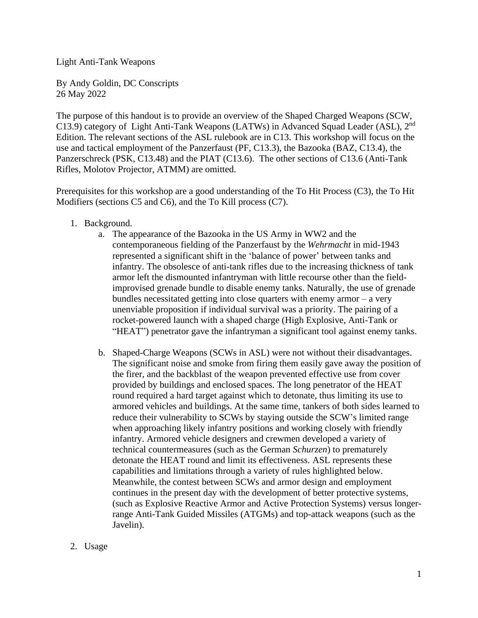Light Anti-Tank Weapons

By Andy Goldin, DC Conscripts 26 May 2022

The purpose of this handout is to provide an overview of the Shaped Charged Weapons (SCW, C13.9) category of Light Anti-Tank Weapons (LATWs) in Advanced Squad Leader (ASL), 2<sup>nd</sup> Edition. The relevant sections of the ASL rulebook are in C13. This workshop will focus on the use and tactical employment of the Panzerfaust (PF, C13.3), the Bazooka (BAZ, C13.4), the Panzerschreck (PSK, C13.48) and the PIAT (C13.6). The other sections of C13.6 (Anti-Tank Rifles, Molotov Projector, ATMM) are omitted.

Prerequisites for this workshop are a good understanding of the To Hit Process (C3), the To Hit Modifiers (sections C5 and C6), and the To Kill process (C7).

- 1. Background.
	- a. The appearance of the Bazooka in the US Army in WW2 and the contemporaneous fielding of the Panzerfaust by the *Wehrmacht* in mid-1943 represented a significant shift in the 'balance of power' between tanks and infantry. The obsolesce of anti-tank rifles due to the increasing thickness of tank armor left the dismounted infantryman with little recourse other than the fieldimprovised grenade bundle to disable enemy tanks. Naturally, the use of grenade bundles necessitated getting into close quarters with enemy armor – a very unenviable proposition if individual survival was a priority. The pairing of a rocket-powered launch with a shaped charge (High Explosive, Anti-Tank or "HEAT") penetrator gave the infantryman a significant tool against enemy tanks.
	- b. Shaped-Charge Weapons (SCWs in ASL) were not without their disadvantages. The significant noise and smoke from firing them easily gave away the position of the firer, and the backblast of the weapon prevented effective use from cover provided by buildings and enclosed spaces. The long penetrator of the HEAT round required a hard target against which to detonate, thus limiting its use to armored vehicles and buildings. At the same time, tankers of both sides learned to reduce their vulnerability to SCWs by staying outside the SCW's limited range when approaching likely infantry positions and working closely with friendly infantry. Armored vehicle designers and crewmen developed a variety of technical countermeasures (such as the German *Schurzen*) to prematurely detonate the HEAT round and limit its effectiveness. ASL represents these capabilities and limitations through a variety of rules highlighted below. Meanwhile, the contest between SCWs and armor design and employment continues in the present day with the development of better protective systems, (such as Explosive Reactive Armor and Active Protection Systems) versus longerrange Anti-Tank Guided Missiles (ATGMs) and top-attack weapons (such as the Javelin).
- 2. Usage